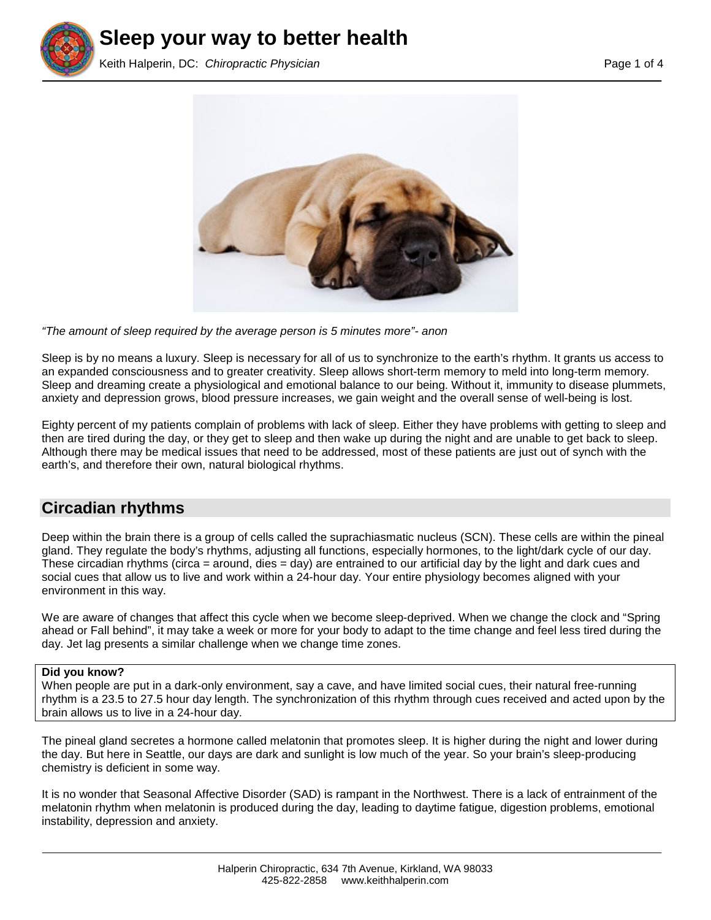





*"The amount of sleep required by the average person is 5 minutes more"- anon*

Sleep is by no means a luxury. Sleep is necessary for all of us to synchronize to the earth's rhythm. It grants us access to an expanded consciousness and to greater creativity. Sleep allows short-term memory to meld into long-term memory. Sleep and dreaming create a physiological and emotional balance to our being. Without it, immunity to disease plummets, anxiety and depression grows, blood pressure increases, we gain weight and the overall sense of well-being is lost.

Eighty percent of my patients complain of problems with lack of sleep. Either they have problems with getting to sleep and then are tired during the day, or they get to sleep and then wake up during the night and are unable to get back to sleep. Although there may be medical issues that need to be addressed, most of these patients are just out of synch with the earth's, and therefore their own, natural biological rhythms.

# **Circadian rhythms**

Deep within the brain there is a group of cells called the suprachiasmatic nucleus (SCN). These cells are within the pineal gland. They regulate the body's rhythms, adjusting all functions, especially hormones, to the light/dark cycle of our day. These circadian rhythms (circa = around, dies = day) are entrained to our artificial day by the light and dark cues and social cues that allow us to live and work within a 24-hour day. Your entire physiology becomes aligned with your environment in this way.

We are aware of changes that affect this cycle when we become sleep-deprived. When we change the clock and "Spring ahead or Fall behind", it may take a week or more for your body to adapt to the time change and feel less tired during the day. Jet lag presents a similar challenge when we change time zones.

### **Did you know?**

When people are put in a dark-only environment, say a cave, and have limited social cues, their natural free-running rhythm is a 23.5 to 27.5 hour day length. The synchronization of this rhythm through cues received and acted upon by the brain allows us to live in a 24-hour day.

The pineal gland secretes a hormone called melatonin that promotes sleep. It is higher during the night and lower during the day. But here in Seattle, our days are dark and sunlight is low much of the year. So your brain's sleep-producing chemistry is deficient in some way.

It is no wonder that Seasonal Affective Disorder (SAD) is rampant in the Northwest. There is a lack of entrainment of the melatonin rhythm when melatonin is produced during the day, leading to daytime fatigue, digestion problems, emotional instability, depression and anxiety.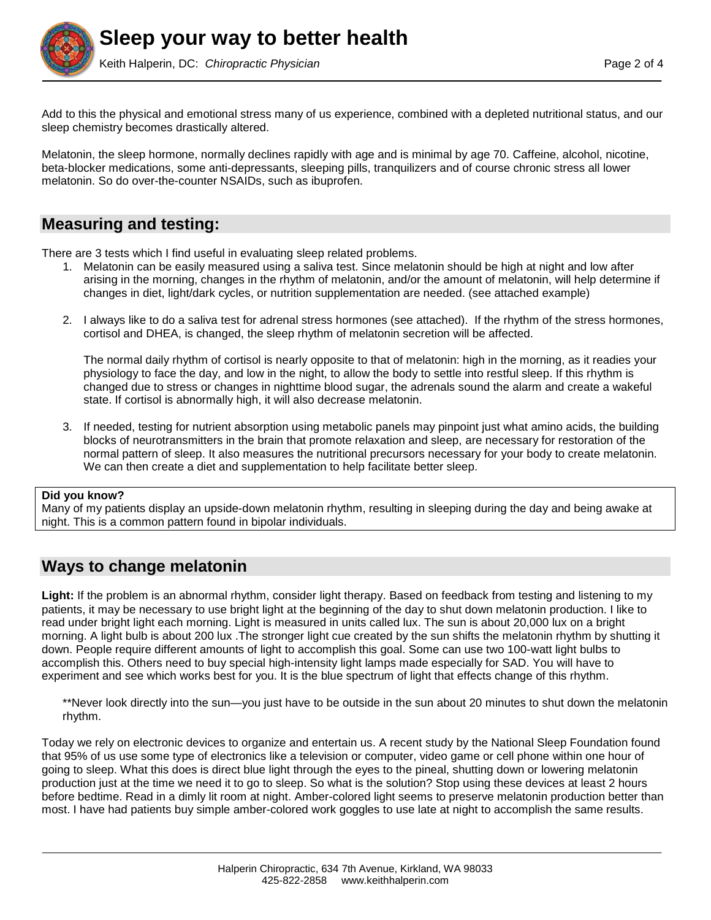

Add to this the physical and emotional stress many of us experience, combined with a depleted nutritional status, and our sleep chemistry becomes drastically altered.

Melatonin, the sleep hormone, normally declines rapidly with age and is minimal by age 70. Caffeine, alcohol, nicotine, beta-blocker medications, some anti-depressants, sleeping pills, tranquilizers and of course chronic stress all lower melatonin. So do over-the-counter NSAIDs, such as ibuprofen.

## **Measuring and testing:**

There are 3 tests which I find useful in evaluating sleep related problems.

- 1. Melatonin can be easily measured using a saliva test. Since melatonin should be high at night and low after arising in the morning, changes in the rhythm of melatonin, and/or the amount of melatonin, will help determine if changes in diet, light/dark cycles, or nutrition supplementation are needed. (see attached example)
- 2. I always like to do a saliva test for adrenal stress hormones (see attached). If the rhythm of the stress hormones, cortisol and DHEA, is changed, the sleep rhythm of melatonin secretion will be affected.

The normal daily rhythm of cortisol is nearly opposite to that of melatonin: high in the morning, as it readies your physiology to face the day, and low in the night, to allow the body to settle into restful sleep. If this rhythm is changed due to stress or changes in nighttime blood sugar, the adrenals sound the alarm and create a wakeful state. If cortisol is abnormally high, it will also decrease melatonin.

3. If needed, testing for nutrient absorption using metabolic panels may pinpoint just what amino acids, the building blocks of neurotransmitters in the brain that promote relaxation and sleep, are necessary for restoration of the normal pattern of sleep. It also measures the nutritional precursors necessary for your body to create melatonin. We can then create a diet and supplementation to help facilitate better sleep.

#### **Did you know?**

Many of my patients display an upside-down melatonin rhythm, resulting in sleeping during the day and being awake at night. This is a common pattern found in bipolar individuals.

## **Ways to change melatonin**

**Light:** If the problem is an abnormal rhythm, consider light therapy. Based on feedback from testing and listening to my patients, it may be necessary to use bright light at the beginning of the day to shut down melatonin production. I like to read under bright light each morning. Light is measured in units called lux. The sun is about 20,000 lux on a bright morning. A light bulb is about 200 lux .The stronger light cue created by the sun shifts the melatonin rhythm by shutting it down. People require different amounts of light to accomplish this goal. Some can use two 100-watt light bulbs to accomplish this. Others need to buy special high-intensity light lamps made especially for SAD. You will have to experiment and see which works best for you. It is the blue spectrum of light that effects change of this rhythm.

\*\*Never look directly into the sun—you just have to be outside in the sun about 20 minutes to shut down the melatonin rhythm.

Today we rely on electronic devices to organize and entertain us. A recent study by the National Sleep Foundation found that 95% of us use some type of electronics like a television or computer, video game or cell phone within one hour of going to sleep. What this does is direct blue light through the eyes to the pineal, shutting down or lowering melatonin production just at the time we need it to go to sleep. So what is the solution? Stop using these devices at least 2 hours before bedtime. Read in a dimly lit room at night. Amber-colored light seems to preserve melatonin production better than most. I have had patients buy simple amber-colored work goggles to use late at night to accomplish the same results.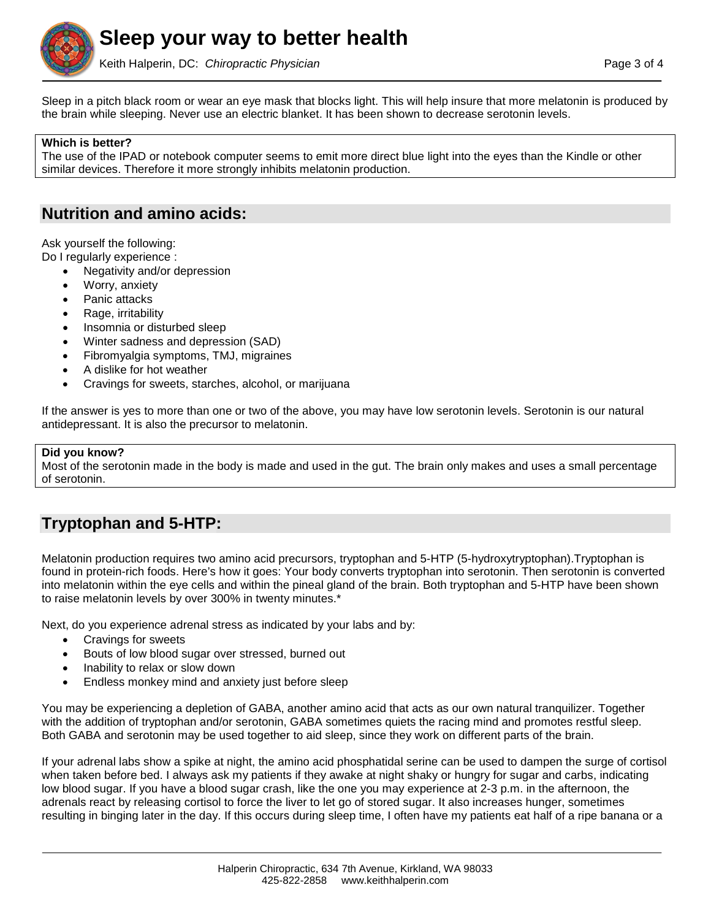

Keith Halperin, DC: *Chiropractic Physician* Page 3 of 4

Sleep in a pitch black room or wear an eye mask that blocks light. This will help insure that more melatonin is produced by the brain while sleeping. Never use an electric blanket. It has been shown to decrease serotonin levels.

### **Which is better?**

The use of the IPAD or notebook computer seems to emit more direct blue light into the eyes than the Kindle or other similar devices. Therefore it more strongly inhibits melatonin production.

## **Nutrition and amino acids:**

Ask yourself the following:

- Do I regularly experience :
	- Negativity and/or depression
	- Worry, anxiety
	- Panic attacks
	- Rage, irritability
	- Insomnia or disturbed sleep
	- Winter sadness and depression (SAD)
	- Fibromyalgia symptoms, TMJ, migraines
	- A dislike for hot weather
	- Cravings for sweets, starches, alcohol, or marijuana

If the answer is yes to more than one or two of the above, you may have low serotonin levels. Serotonin is our natural antidepressant. It is also the precursor to melatonin.

### **Did you know?**

Most of the serotonin made in the body is made and used in the gut. The brain only makes and uses a small percentage of serotonin.

# **Tryptophan and 5-HTP:**

Melatonin production requires two amino acid precursors, tryptophan and 5-HTP (5-hydroxytryptophan).Tryptophan is found in protein-rich foods. Here's how it goes: Your body converts tryptophan into serotonin. Then serotonin is converted into melatonin within the eye cells and within the pineal gland of the brain. Both tryptophan and 5-HTP have been shown to raise melatonin levels by over 300% in twenty minutes.\*

Next, do you experience adrenal stress as indicated by your labs and by:

- Cravings for sweets
- Bouts of low blood sugar over stressed, burned out
- Inability to relax or slow down
- Endless monkey mind and anxiety just before sleep

You may be experiencing a depletion of GABA, another amino acid that acts as our own natural tranquilizer. Together with the addition of tryptophan and/or serotonin, GABA sometimes quiets the racing mind and promotes restful sleep. Both GABA and serotonin may be used together to aid sleep, since they work on different parts of the brain.

If your adrenal labs show a spike at night, the amino acid phosphatidal serine can be used to dampen the surge of cortisol when taken before bed. I always ask my patients if they awake at night shaky or hungry for sugar and carbs, indicating low blood sugar. If you have a blood sugar crash, like the one you may experience at 2-3 p.m. in the afternoon, the adrenals react by releasing cortisol to force the liver to let go of stored sugar. It also increases hunger, sometimes resulting in binging later in the day. If this occurs during sleep time, I often have my patients eat half of a ripe banana or a